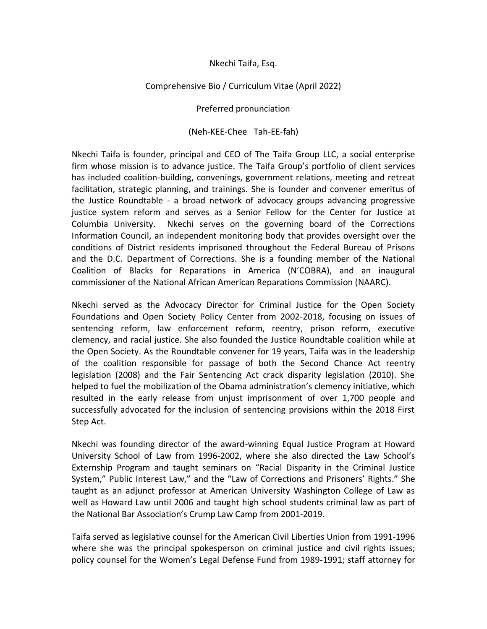## Nkechi Taifa, Esq.

## Comprehensive Bio / Curriculum Vitae (April 2022)

## Preferred pronunciation

## (Neh-KEE-Chee Tah-EE-fah)

Nkechi Taifa is founder, principal and CEO of The Taifa Group LLC, a social enterprise firm whose mission is to advance justice. The Taifa Group's portfolio of client services has included coalition-building, convenings, government relations, meeting and retreat facilitation, strategic planning, and trainings. She is founder and convener emeritus of the Justice Roundtable - a broad network of advocacy groups advancing progressive justice system reform and serves as a Senior Fellow for the Center for Justice at Columbia University. Nkechi serves on the governing board of the Corrections Information Council, an independent monitoring body that provides oversight over the conditions of District residents imprisoned throughout the Federal Bureau of Prisons and the D.C. Department of Corrections. She is a founding member of the National Coalition of Blacks for Reparations in America (N'COBRA), and an inaugural commissioner of the National African American Reparations Commission (NAARC).

Nkechi served as the Advocacy Director for Criminal Justice for the Open Society Foundations and Open Society Policy Center from 2002-2018, focusing on issues of sentencing reform, law enforcement reform, reentry, prison reform, executive clemency, and racial justice. She also founded the Justice Roundtable coalition while at the Open Society. As the Roundtable convener for 19 years, Taifa was in the leadership of the coalition responsible for passage of both the Second Chance Act reentry legislation (2008) and the Fair Sentencing Act crack disparity legislation (2010). She helped to fuel the mobilization of the Obama administration's clemency initiative, which resulted in the early release from unjust imprisonment of over 1,700 people and successfully advocated for the inclusion of sentencing provisions within the 2018 First Step Act.

Nkechi was founding director of the award-winning Equal Justice Program at Howard University School of Law from 1996-2002, where she also directed the Law School's Externship Program and taught seminars on "Racial Disparity in the Criminal Justice System," Public Interest Law," and the "Law of Corrections and Prisoners' Rights." She taught as an adjunct professor at American University Washington College of Law as well as Howard Law until 2006 and taught high school students criminal law as part of the National Bar Association's Crump Law Camp from 2001-2019.

Taifa served as legislative counsel for the American Civil Liberties Union from 1991-1996 where she was the principal spokesperson on criminal justice and civil rights issues; policy counsel for the Women's Legal Defense Fund from 1989-1991; staff attorney for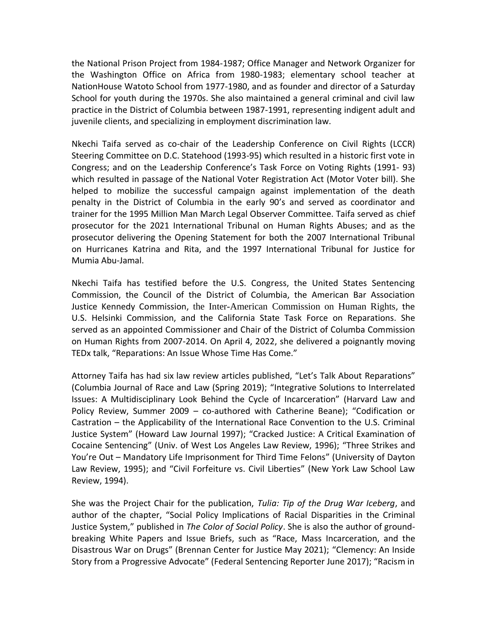the National Prison Project from 1984-1987; Office Manager and Network Organizer for the Washington Office on Africa from 1980-1983; elementary school teacher at NationHouse Watoto School from 1977-1980, and as founder and director of a Saturday School for youth during the 1970s. She also maintained a general criminal and civil law practice in the District of Columbia between 1987-1991, representing indigent adult and juvenile clients, and specializing in employment discrimination law.

Nkechi Taifa served as co-chair of the Leadership Conference on Civil Rights (LCCR) Steering Committee on D.C. Statehood (1993-95) which resulted in a historic first vote in Congress; and on the Leadership Conference's Task Force on Voting Rights (1991- 93) which resulted in passage of the National Voter Registration Act (Motor Voter bill). She helped to mobilize the successful campaign against implementation of the death penalty in the District of Columbia in the early 90's and served as coordinator and trainer for the 1995 Million Man March Legal Observer Committee. Taifa served as chief prosecutor for the 2021 International Tribunal on Human Rights Abuses; and as the prosecutor delivering the Opening Statement for both the 2007 International Tribunal on Hurricanes Katrina and Rita, and the 1997 International Tribunal for Justice for Mumia Abu-Jamal.

Nkechi Taifa has testified before the U.S. Congress, the United States Sentencing Commission, the Council of the District of Columbia, the American Bar Association Justice Kennedy Commission, the Inter-American Commission on Human Rights, the U.S. Helsinki Commission, and the California State Task Force on Reparations. She served as an appointed Commissioner and Chair of the District of Columba Commission on Human Rights from 2007-2014. On April 4, 2022, she delivered a poignantly moving TEDx talk, "Reparations: An Issue Whose Time Has Come."

Attorney Taifa has had six law review articles published, "Let's Talk About Reparations" (Columbia Journal of Race and Law (Spring 2019); "Integrative Solutions to Interrelated Issues: A Multidisciplinary Look Behind the Cycle of Incarceration" (Harvard Law and Policy Review, Summer 2009 – co-authored with Catherine Beane); "Codification or Castration – the Applicability of the International Race Convention to the U.S. Criminal Justice System" (Howard Law Journal 1997); "Cracked Justice: A Critical Examination of Cocaine Sentencing" (Univ. of West Los Angeles Law Review, 1996); "Three Strikes and You're Out – Mandatory Life Imprisonment for Third Time Felons" (University of Dayton Law Review, 1995); and "Civil Forfeiture vs. Civil Liberties" (New York Law School Law Review, 1994).

She was the Project Chair for the publication, *Tulia: Tip of the Drug War Iceberg*, and author of the chapter, "Social Policy Implications of Racial Disparities in the Criminal Justice System," published in *The Color of Social Policy*. She is also the author of groundbreaking White Papers and Issue Briefs, such as "Race, Mass Incarceration, and the Disastrous War on Drugs" (Brennan Center for Justice May 2021); "Clemency: An Inside Story from a Progressive Advocate" (Federal Sentencing Reporter June 2017); "Racism in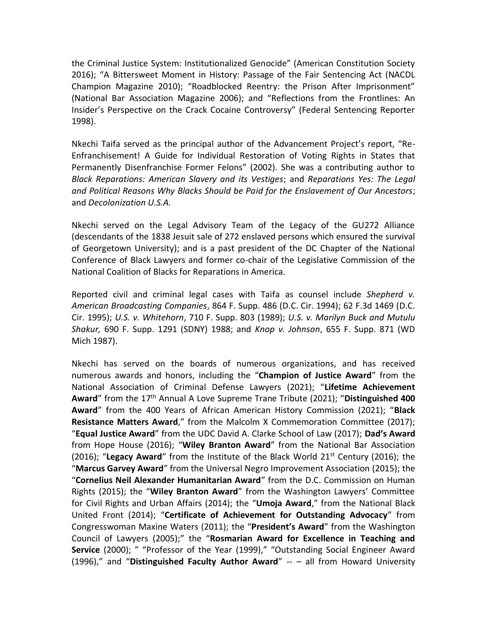the Criminal Justice System: Institutionalized Genocide" (American Constitution Society 2016); "A Bittersweet Moment in History: Passage of the Fair Sentencing Act (NACDL Champion Magazine 2010); "Roadblocked Reentry: the Prison After Imprisonment" (National Bar Association Magazine 2006); and "Reflections from the Frontlines: An Insider's Perspective on the Crack Cocaine Controversy" (Federal Sentencing Reporter 1998).

Nkechi Taifa served as the principal author of the Advancement Project's report, "Re-Enfranchisement! A Guide for Individual Restoration of Voting Rights in States that Permanently Disenfranchise Former Felons" (2002). She was a contributing author to *Black Reparations: American Slavery and its Vestiges*; and *Reparations Yes: The Legal and Political Reasons Why Blacks Should be Paid for the Enslavement of Our Ancestors*; and *Decolonization U.S.A.*

Nkechi served on the Legal Advisory Team of the Legacy of the GU272 Alliance (descendants of the 1838 Jesuit sale of 272 enslaved persons which ensured the survival of Georgetown University); and is a past president of the DC Chapter of the National Conference of Black Lawyers and former co-chair of the Legislative Commission of the National Coalition of Blacks for Reparations in America.

Reported civil and criminal legal cases with Taifa as counsel include *Shepherd v. American Broadcasting Companies*, 864 F. Supp. 486 (D.C. Cir. 1994); 62 F.3d 1469 (D.C. Cir. 1995); *U.S. v. Whitehorn*, 710 F. Supp. 803 (1989); *U.S. v. Marilyn Buck and Mutulu Shakur,* 690 F. Supp. 1291 (SDNY) 1988; and *Knop v. Johnson*, 655 F. Supp. 871 (WD Mich 1987).

Nkechi has served on the boards of numerous organizations, and has received numerous awards and honors, including the "**Champion of Justice Award**" from the National Association of Criminal Defense Lawyers (2021); "**Lifetime Achievement Award**" from the 17th Annual A Love Supreme Trane Tribute (2021); "**Distinguished 400 Award**" from the 400 Years of African American History Commission (2021); "**Black Resistance Matters Award**," from the Malcolm X Commemoration Committee (2017); "**Equal Justice Award**" from the UDC David A. Clarke School of Law (2017); **Dad's Award** from Hope House (2016); "**Wiley Branton Award**" from the National Bar Association (2016); "Legacy Award" from the Institute of the Black World 21<sup>st</sup> Century (2016); the "**Marcus Garvey Award**" from the Universal Negro Improvement Association (2015); the "**Cornelius Neil Alexander Humanitarian Award**" from the D.C. Commission on Human Rights (2015); the "**Wiley Branton Award**" from the Washington Lawyers' Committee for Civil Rights and Urban Affairs (2014); the "**Umoja Award**," from the National Black United Front (2014); "**Certificate of Achievement for Outstanding Advocacy**" from Congresswoman Maxine Waters (2011); the "**President's Award**" from the Washington Council of Lawyers (2005);" the "**Rosmarian Award for Excellence in Teaching and Service** (2000); " "Professor of the Year (1999)," "Outstanding Social Engineer Award (1996)," and "**Distinguished Faculty Author Award**" -- – all from Howard University